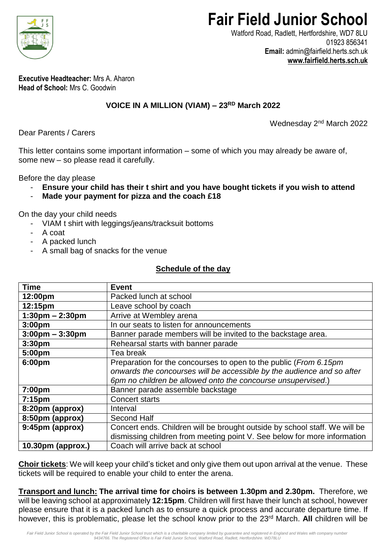

# **Fair Field Junior School**

Watford Road, Radlett, Hertfordshire, WD7 8LU 01923 856341 **Email:** admin@fairfield.herts.sch.uk **[www.fairfield.herts.sch.uk](http://www.fairfield.herts.sch.uk/)**

**Executive Headteacher:** Mrs A. Aharon **Head of School:** Mrs C. Goodwin

## **VOICE IN A MILLION (VIAM) – 23RD March 2022**

Wednesday 2<sup>nd</sup> March 2022

Dear Parents / Carers

This letter contains some important information – some of which you may already be aware of, some new – so please read it carefully.

Before the day please

- **Ensure your child has their t shirt and you have bought tickets if you wish to attend**
- **Made your payment for pizza and the coach £18**

On the day your child needs

- VIAM t shirt with leggings/jeans/tracksuit bottoms
- A coat
- A packed lunch
- A small bag of snacks for the venue

#### **Schedule of the day**

| <b>Time</b>                       | <b>Event</b>                                                               |
|-----------------------------------|----------------------------------------------------------------------------|
| 12:00pm                           | Packed lunch at school                                                     |
| 12:15pm                           | Leave school by coach                                                      |
| $1:30$ pm – 2:30pm                | Arrive at Wembley arena                                                    |
| 3:00 <sub>pm</sub>                | In our seats to listen for announcements                                   |
| $3:00 \text{pm} - 3:30 \text{pm}$ | Banner parade members will be invited to the backstage area.               |
| 3:30 <sub>pm</sub>                | Rehearsal starts with banner parade                                        |
| 5:00pm                            | Tea break                                                                  |
| 6:00pm                            | Preparation for the concourses to open to the public (From 6.15pm          |
|                                   | onwards the concourses will be accessible by the audience and so after     |
|                                   | 6pm no children be allowed onto the concourse unsupervised.)               |
| 7:00pm                            | Banner parade assemble backstage                                           |
| 7:15 <sub>pm</sub>                | <b>Concert starts</b>                                                      |
| 8:20pm (approx)                   | Interval                                                                   |
| 8:50pm (approx)                   | Second Half                                                                |
| 9:45pm (approx)                   | Concert ends. Children will be brought outside by school staff. We will be |
|                                   | dismissing children from meeting point V. See below for more information   |
| 10.30pm (approx.)                 | Coach will arrive back at school                                           |

**Choir tickets**: We will keep your child's ticket and only give them out upon arrival at the venue. These tickets will be required to enable your child to enter the arena.

**Transport and lunch: The arrival time for choirs is between 1.30pm and 2.30pm.** Therefore, we will be leaving school at approximately **12:15pm**. Children will first have their lunch at school, however please ensure that it is a packed lunch as to ensure a quick process and accurate departure time. If however, this is problematic, please let the school know prior to the 23<sup>rd</sup> March. All children will be